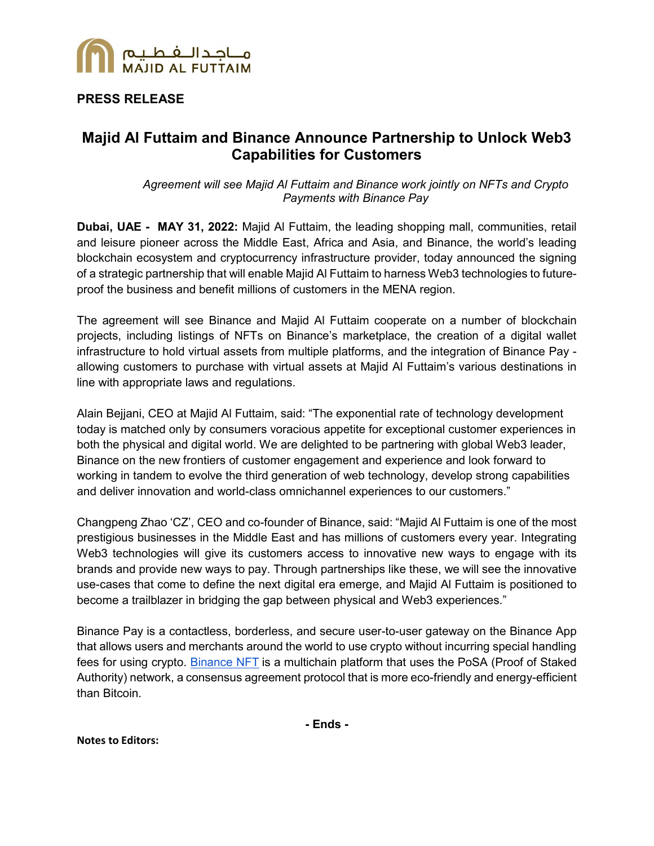

## **PRESS RELEASE**

# **Majid Al Futtaim and Binance Announce Partnership to Unlock Web3 Capabilities for Customers**

*Agreement will see Majid Al Futtaim and Binance work jointly on NFTs and Crypto Payments with Binance Pay* 

**Dubai, UAE - MAY 31, 2022:** Majid Al Futtaim, the leading shopping mall, communities, retail and leisure pioneer across the Middle East, Africa and Asia, and [Binance,](https://www.binance.com/) the world's leading blockchain ecosystem and cryptocurrency infrastructure provider, today announced the signing of a strategic partnership that will enable Majid Al Futtaim to harness Web3 technologies to futureproof the business and benefit millions of customers in the MENA region.

The agreement will see Binance and Majid Al Futtaim cooperate on a number of blockchain projects, including listings of NFTs on Binance's marketplace, the creation of a digital wallet infrastructure to hold virtual assets from multiple platforms, and the integration of Binance Pay allowing customers to purchase with virtual assets at Majid Al Futtaim's various destinations in line with appropriate laws and regulations.

Alain Bejjani, CEO at Majid Al Futtaim, said: "The exponential rate of technology development today is matched only by consumers voracious appetite for exceptional customer experiences in both the physical and digital world. We are delighted to be partnering with global Web3 leader, Binance on the new frontiers of customer engagement and experience and look forward to working in tandem to evolve the third generation of web technology, develop strong capabilities and deliver innovation and world-class omnichannel experiences to our customers."

Changpeng Zhao 'CZ', CEO and co-founder of Binance, said: "Majid Al Futtaim is one of the most prestigious businesses in the Middle East and has millions of customers every year. Integrating Web3 technologies will give its customers access to innovative new ways to engage with its brands and provide new ways to pay. Through partnerships like these, we will see the innovative use-cases that come to define the next digital era emerge, and Majid Al Futtaim is positioned to become a trailblazer in bridging the gap between physical and Web3 experiences."

Binance Pay is a contactless, borderless, and secure user-to-user gateway on the Binance App that allows users and merchants around the world to use crypto without incurring special handling fees for using crypto. [Binance NFT](https://www.binance.com/en/nft) is a multichain platform that uses the PoSA (Proof of Staked Authority) network, a consensus agreement protocol that is more eco-friendly and energy-efficient than Bitcoin.

**- Ends -**

**Notes to Editors:**